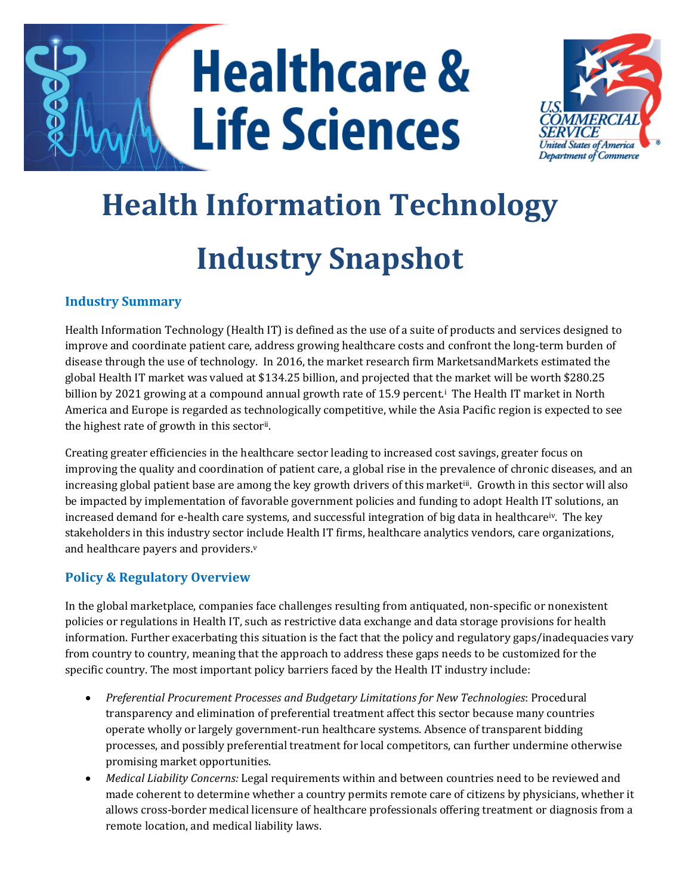# **Healthcare & Life Sciences**



# **Health Information Technology Industry Snapshot**

# **Industry Summary**

Health Information Technology (Health IT) is defined as the use of a suite of products and services designed to improve and coordinate patient care, address growing healthcare costs and confront the long-term burden of disease through the use of technology. In 2016, the market research firm MarketsandMarkets estimated the global Health IT market was valued at \$134.25 billion, and projected that the market will be worth \$280.25 billion by 2021 growing at a compound annual growth rate of 15.9 percent.<sup>i</sup> The Health IT market in North America and Europe is regarded as technologically competitive, while the Asia Pacific region is expected to see the highest rate of growth in this sectorii.

Creating greater efficiencies in the healthcare sector leading to increased cost savings, greater focus on improving the quality and coordination of patient care, a global rise in the prevalence of chronic diseases, and an increasing global patient base are among the key growth drivers of this market<sup>iii</sup>. Growth in this sector will also be impacted by implementation of favorable government policies and funding to adopt Health IT solutions, an increased demand for e-health care systems, and successful integration of big data in healthcareiv. The key stakeholders in this industry sector include Health IT firms, healthcare analytics vendors, care organizations, and healthcare payers and providers.<sup>v</sup>

# **Policy & Regulatory Overview**

In the global marketplace, companies face challenges resulting from antiquated, non-specific or nonexistent policies or regulations in Health IT, such as restrictive data exchange and data storage provisions for health information. Further exacerbating this situation is the fact that the policy and regulatory gaps/inadequacies vary from country to country, meaning that the approach to address these gaps needs to be customized for the specific country. The most important policy barriers faced by the Health IT industry include:

- *Preferential Procurement Processes and Budgetary Limitations for New Technologies*: Procedural transparency and elimination of preferential treatment affect this sector because many countries operate wholly or largely government-run healthcare systems. Absence of transparent bidding processes, and possibly preferential treatment for local competitors, can further undermine otherwise promising market opportunities.
- *Medical Liability Concerns:* Legal requirements within and between countries need to be reviewed and made coherent to determine whether a country permits remote care of citizens by physicians, whether it allows cross-border medical licensure of healthcare professionals offering treatment or diagnosis from a remote location, and medical liability laws.